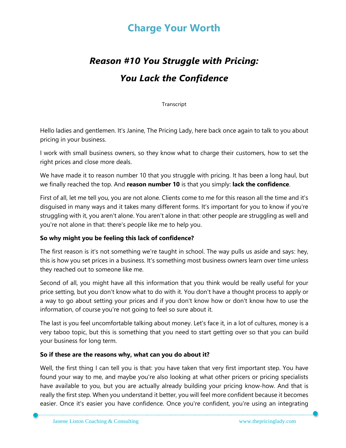### **Charge Your Worth**

# *Reason #10 You Struggle with Pricing: You Lack the Confidence*

Transcript

Hello ladies and gentlemen. It's Janine, The Pricing Lady, here back once again to talk to you about pricing in your business.

I work with small business owners, so they know what to charge their customers, how to set the right prices and close more deals.

We have made it to reason number 10 that you struggle with pricing. It has been a long haul, but we finally reached the top. And **reason number 10** is that you simply: **lack the confidence**.

First of all, let me tell you, you are not alone. Clients come to me for this reason all the time and it's disguised in many ways and it takes many different forms. It's important for you to know if you're struggling with it, you aren't alone. You aren't alone in that: other people are struggling as well and you're not alone in that: there's people like me to help you.

#### **So why might you be feeling this lack of confidence?**

The first reason is it's not something we're taught in school. The way pulls us aside and says: hey, this is how you set prices in a business. It's something most business owners learn over time unless they reached out to someone like me.

Second of all, you might have all this information that you think would be really useful for your price setting, but you don't know what to do with it. You don't have a thought process to apply or a way to go about setting your prices and if you don't know how or don't know how to use the information, of course you're not going to feel so sure about it.

The last is you feel uncomfortable talking about money. Let's face it, in a lot of cultures, money is a very taboo topic, but this is something that you need to start getting over so that you can build your business for long term.

#### **So if these are the reasons why, what can you do about it?**

Well, the first thing I can tell you is that: you have taken that very first important step. You have found your way to me, and maybe you're also looking at what other pricers or pricing specialists have available to you, but you are actually already building your pricing know-how. And that is really the first step. When you understand it better, you will feel more confident because it becomes easier. Once it's easier you have confidence. Once you're confident, you're using an integrating